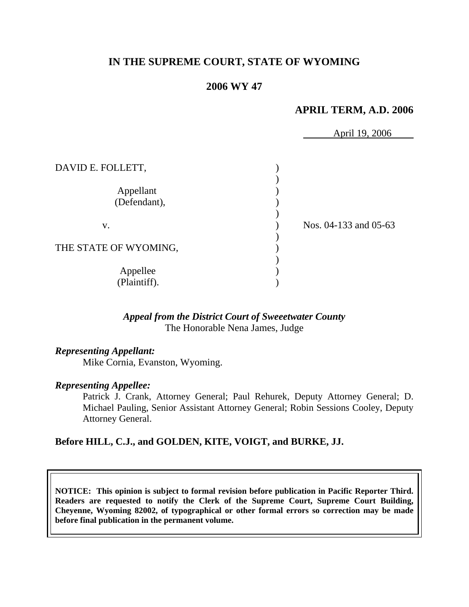# **IN THE SUPREME COURT, STATE OF WYOMING**

# **2006 WY 47**

## **APRIL TERM, A.D. 2006**

|                           | April 19, 2006        |
|---------------------------|-----------------------|
| DAVID E. FOLLETT,         |                       |
| Appellant<br>(Defendant), |                       |
| V.                        | Nos. 04-133 and 05-63 |
| THE STATE OF WYOMING,     |                       |
| Appellee<br>(Plaintiff).  |                       |

# *Appeal from the District Court of Sweeetwater County* The Honorable Nena James, Judge

# *Representing Appellant:*

Mike Cornia, Evanston, Wyoming.

### *Representing Appellee:*

Patrick J. Crank, Attorney General; Paul Rehurek, Deputy Attorney General; D. Michael Pauling, Senior Assistant Attorney General; Robin Sessions Cooley, Deputy Attorney General.

### **Before HILL, C.J., and GOLDEN, KITE, VOIGT, and BURKE, JJ.**

**NOTICE: This opinion is subject to formal revision before publication in Pacific Reporter Third. Readers are requested to notify the Clerk of the Supreme Court, Supreme Court Building, Cheyenne, Wyoming 82002, of typographical or other formal errors so correction may be made before final publication in the permanent volume.**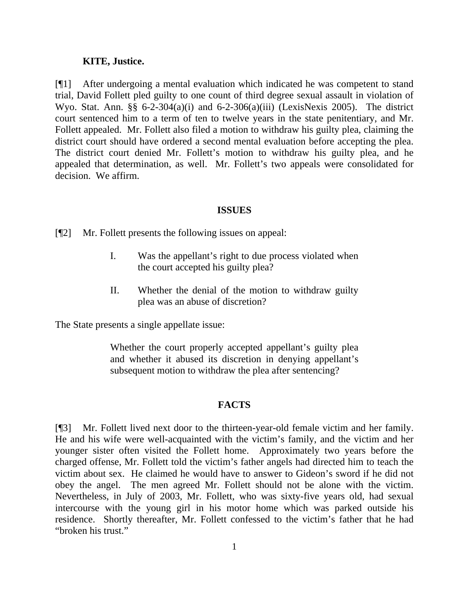#### **KITE, Justice.**

[¶1] After undergoing a mental evaluation which indicated he was competent to stand trial, David Follett pled guilty to one count of third degree sexual assault in violation of Wyo. Stat. Ann.  $\S\S 6-2-304(a)(i)$  and  $6-2-306(a)(iii)$  (LexisNexis 2005). The district court sentenced him to a term of ten to twelve years in the state penitentiary, and Mr. Follett appealed. Mr. Follett also filed a motion to withdraw his guilty plea, claiming the district court should have ordered a second mental evaluation before accepting the plea. The district court denied Mr. Follett's motion to withdraw his guilty plea, and he appealed that determination, as well. Mr. Follett's two appeals were consolidated for decision. We affirm.

#### **ISSUES**

[¶2] Mr. Follett presents the following issues on appeal:

- I. Was the appellant's right to due process violated when the court accepted his guilty plea?
- II. Whether the denial of the motion to withdraw guilty plea was an abuse of discretion?

The State presents a single appellate issue:

Whether the court properly accepted appellant's guilty plea and whether it abused its discretion in denying appellant's subsequent motion to withdraw the plea after sentencing?

### **FACTS**

[¶3] Mr. Follett lived next door to the thirteen-year-old female victim and her family. He and his wife were well-acquainted with the victim's family, and the victim and her younger sister often visited the Follett home. Approximately two years before the charged offense, Mr. Follett told the victim's father angels had directed him to teach the victim about sex. He claimed he would have to answer to Gideon's sword if he did not obey the angel. The men agreed Mr. Follett should not be alone with the victim. Nevertheless, in July of 2003, Mr. Follett, who was sixty-five years old, had sexual intercourse with the young girl in his motor home which was parked outside his residence. Shortly thereafter, Mr. Follett confessed to the victim's father that he had "broken his trust."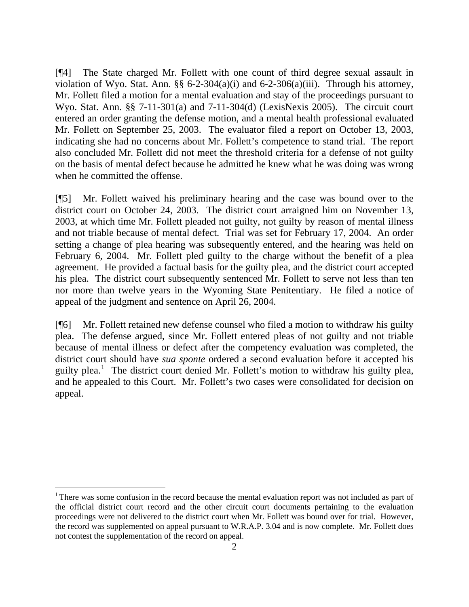[¶4] The State charged Mr. Follett with one count of third degree sexual assault in violation of Wyo. Stat. Ann.  $\S$  6-2-304(a)(i) and 6-2-306(a)(iii). Through his attorney, Mr. Follett filed a motion for a mental evaluation and stay of the proceedings pursuant to Wyo. Stat. Ann. §§ 7-11-301(a) and 7-11-304(d) (LexisNexis 2005). The circuit court entered an order granting the defense motion, and a mental health professional evaluated Mr. Follett on September 25, 2003. The evaluator filed a report on October 13, 2003, indicating she had no concerns about Mr. Follett's competence to stand trial. The report also concluded Mr. Follett did not meet the threshold criteria for a defense of not guilty on the basis of mental defect because he admitted he knew what he was doing was wrong when he committed the offense.

[¶5] Mr. Follett waived his preliminary hearing and the case was bound over to the district court on October 24, 2003. The district court arraigned him on November 13, 2003, at which time Mr. Follett pleaded not guilty, not guilty by reason of mental illness and not triable because of mental defect. Trial was set for February 17, 2004. An order setting a change of plea hearing was subsequently entered, and the hearing was held on February 6, 2004. Mr. Follett pled guilty to the charge without the benefit of a plea agreement. He provided a factual basis for the guilty plea, and the district court accepted his plea. The district court subsequently sentenced Mr. Follett to serve not less than ten nor more than twelve years in the Wyoming State Penitentiary. He filed a notice of appeal of the judgment and sentence on April 26, 2004.

[¶6] Mr. Follett retained new defense counsel who filed a motion to withdraw his guilty plea. The defense argued, since Mr. Follett entered pleas of not guilty and not triable because of mental illness or defect after the competency evaluation was completed, the district court should have *sua sponte* ordered a second evaluation before it accepted his guilty plea.<sup>[1](#page-3-0)</sup> The district court denied Mr. Follett's motion to withdraw his guilty plea, and he appealed to this Court. Mr. Follett's two cases were consolidated for decision on appeal.

l

<span id="page-3-0"></span><sup>&</sup>lt;sup>1</sup> There was some confusion in the record because the mental evaluation report was not included as part of the official district court record and the other circuit court documents pertaining to the evaluation proceedings were not delivered to the district court when Mr. Follett was bound over for trial. However, the record was supplemented on appeal pursuant to W.R.A.P. 3.04 and is now complete. Mr. Follett does not contest the supplementation of the record on appeal.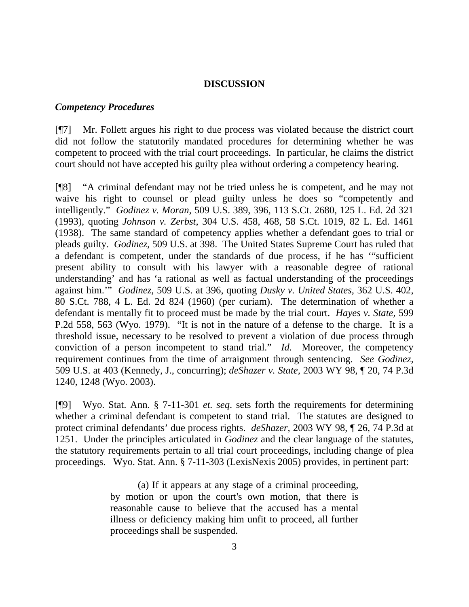### **DISCUSSION**

#### *Competency Procedures*

[¶7] Mr. Follett argues his right to due process was violated because the district court did not follow the statutorily mandated procedures for determining whether he was competent to proceed with the trial court proceedings. In particular, he claims the district court should not have accepted his guilty plea without ordering a competency hearing.

[¶8] "A criminal defendant may not be tried unless he is competent, and he may not waive his right to counsel or plead guilty unless he does so "competently and intelligently." *Godinez v. Moran,* 509 U.S. 389, 396, 113 S.Ct. 2680, 125 L. Ed. 2d 321 (1993), quoting *Johnson v. Zerbst,* 304 U.S. 458, 468, 58 S.Ct. 1019, 82 L. Ed. 1461 (1938). The same standard of competency applies whether a defendant goes to trial or pleads guilty. *Godinez,* 509 U.S. at 398. The United States Supreme Court has ruled that a defendant is competent, under the standards of due process, if he has '"sufficient present ability to consult with his lawyer with a reasonable degree of rational understanding' and has 'a rational as well as factual understanding of the proceedings against him.'" *Godinez,* 509 U.S. at 396, quoting *Dusky v. United States,* 362 U.S. 402, 80 S.Ct. 788, 4 L. Ed. 2d 824 (1960) (per curiam). The determination of whether a defendant is mentally fit to proceed must be made by the trial court. *Hayes v. State,* 599 P.2d 558, 563 (Wyo. 1979). "It is not in the nature of a defense to the charge. It is a threshold issue, necessary to be resolved to prevent a violation of due process through conviction of a person incompetent to stand trial." *Id.* Moreover, the competency requirement continues from the time of arraignment through sentencing. *See Godinez,*  509 U.S. at 403 (Kennedy, J., concurring); *deShazer v. State,* 2003 WY 98, ¶ 20, 74 P.3d 1240, 1248 (Wyo. 2003).

[¶9] Wyo. Stat. Ann. § 7-11-301 *et. seq*. sets forth the requirements for determining whether a criminal defendant is competent to stand trial. The statutes are designed to protect criminal defendants' due process rights. *deShazer,* 2003 WY 98, ¶ 26, 74 P.3d at 1251. Under the principles articulated in *Godinez* and the clear language of the statutes, the statutory requirements pertain to all trial court proceedings, including change of plea proceedings. Wyo. Stat. Ann. § 7-11-303 (LexisNexis 2005) provides, in pertinent part:

> (a) If it appears at any stage of a criminal proceeding, by motion or upon the court's own motion, that there is reasonable cause to believe that the accused has a mental illness or deficiency making him unfit to proceed, all further proceedings shall be suspended.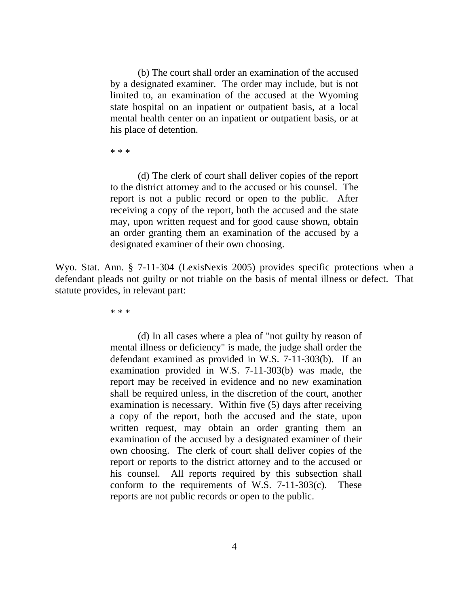(b) The court shall order an examination of the accused by a designated examiner. The order may include, but is not limited to, an examination of the accused at the Wyoming state hospital on an inpatient or outpatient basis, at a local mental health center on an inpatient or outpatient basis, or at his place of detention.

\* \* \*

 (d) The clerk of court shall deliver copies of the report to the district attorney and to the accused or his counsel. The report is not a public record or open to the public. After receiving a copy of the report, both the accused and the state may, upon written request and for good cause shown, obtain an order granting them an examination of the accused by a designated examiner of their own choosing.

Wyo. Stat. Ann. § 7-11-304 (LexisNexis 2005) provides specific protections when a defendant pleads not guilty or not triable on the basis of mental illness or defect. That statute provides, in relevant part:

\* \* \*

(d) In all cases where a plea of "not guilty by reason of mental illness or deficiency" is made, the judge shall order the defendant examined as provided in W.S. 7-11-303(b). If an examination provided in W.S. 7-11-303(b) was made, the report may be received in evidence and no new examination shall be required unless, in the discretion of the court, another examination is necessary. Within five (5) days after receiving a copy of the report, both the accused and the state, upon written request, may obtain an order granting them an examination of the accused by a designated examiner of their own choosing. The clerk of court shall deliver copies of the report or reports to the district attorney and to the accused or his counsel. All reports required by this subsection shall conform to the requirements of W.S.  $7-11-303(c)$ . These reports are not public records or open to the public.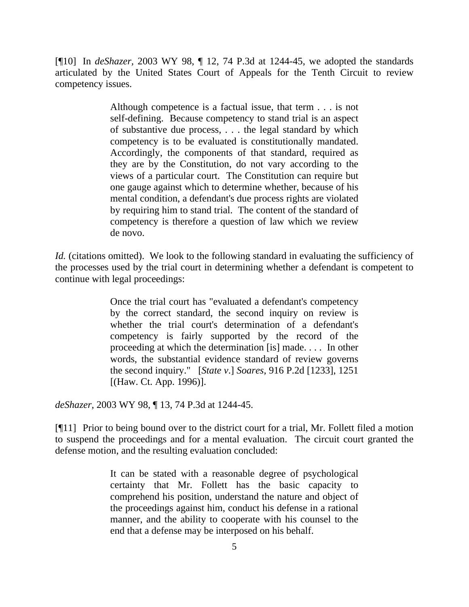[¶10] In *deShazer,* 2003 WY 98, ¶ 12, 74 P.3d at 1244-45, we adopted the standards articulated by the United States Court of Appeals for the Tenth Circuit to review competency issues.

> Although competence is a factual issue, that term . . . is not self-defining. Because competency to stand trial is an aspect of substantive due process, . . . the legal standard by which competency is to be evaluated is constitutionally mandated. Accordingly, the components of that standard, required as they are by the Constitution, do not vary according to the views of a particular court. The Constitution can require but one gauge against which to determine whether, because of his mental condition, a defendant's due process rights are violated by requiring him to stand trial. The content of the standard of competency is therefore a question of law which we review de novo.

*Id.* (citations omitted). We look to the following standard in evaluating the sufficiency of the processes used by the trial court in determining whether a defendant is competent to continue with legal proceedings:

> Once the trial court has "evaluated a defendant's competency by the correct standard, the second inquiry on review is whether the trial court's determination of a defendant's competency is fairly supported by the record of the proceeding at which the determination [is] made. . . . In other words, the substantial evidence standard of review governs the second inquiry." [*State v*.] *Soares*, 916 P.2d [1233], 1251 [(Haw. Ct. App. 1996)].

*deShazer,* 2003 WY 98, ¶ 13, 74 P.3d at 1244-45.

[¶11] Prior to being bound over to the district court for a trial, Mr. Follett filed a motion to suspend the proceedings and for a mental evaluation. The circuit court granted the defense motion, and the resulting evaluation concluded:

> It can be stated with a reasonable degree of psychological certainty that Mr. Follett has the basic capacity to comprehend his position, understand the nature and object of the proceedings against him, conduct his defense in a rational manner, and the ability to cooperate with his counsel to the end that a defense may be interposed on his behalf.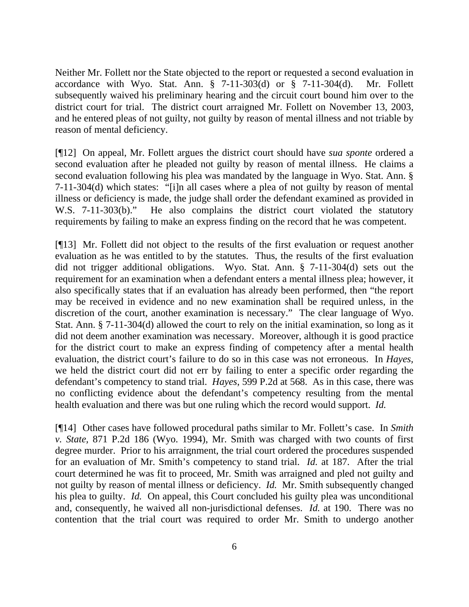Neither Mr. Follett nor the State objected to the report or requested a second evaluation in accordance with Wyo. Stat. Ann.  $\S$  7-11-303(d) or  $\S$  7-11-304(d). Mr. Follett subsequently waived his preliminary hearing and the circuit court bound him over to the district court for trial. The district court arraigned Mr. Follett on November 13, 2003, and he entered pleas of not guilty, not guilty by reason of mental illness and not triable by reason of mental deficiency.

[¶12] On appeal, Mr. Follett argues the district court should have *sua sponte* ordered a second evaluation after he pleaded not guilty by reason of mental illness. He claims a second evaluation following his plea was mandated by the language in Wyo. Stat. Ann. § 7-11-304(d) which states: "[i]n all cases where a plea of not guilty by reason of mental illness or deficiency is made, the judge shall order the defendant examined as provided in W.S. 7-11-303(b)." He also complains the district court violated the statutory requirements by failing to make an express finding on the record that he was competent.

[¶13] Mr. Follett did not object to the results of the first evaluation or request another evaluation as he was entitled to by the statutes. Thus, the results of the first evaluation did not trigger additional obligations. Wyo. Stat. Ann. § 7-11-304(d) sets out the requirement for an examination when a defendant enters a mental illness plea; however, it also specifically states that if an evaluation has already been performed, then "the report may be received in evidence and no new examination shall be required unless, in the discretion of the court, another examination is necessary." The clear language of Wyo. Stat. Ann. § 7-11-304(d) allowed the court to rely on the initial examination, so long as it did not deem another examination was necessary. Moreover, although it is good practice for the district court to make an express finding of competency after a mental health evaluation, the district court's failure to do so in this case was not erroneous. In *Hayes,*  we held the district court did not err by failing to enter a specific order regarding the defendant's competency to stand trial. *Hayes*, 599 P.2d at 568. As in this case, there was no conflicting evidence about the defendant's competency resulting from the mental health evaluation and there was but one ruling which the record would support. *Id.* 

[¶14] Other cases have followed procedural paths similar to Mr. Follett's case. In *Smith v. State,* 871 P.2d 186 (Wyo. 1994), Mr. Smith was charged with two counts of first degree murder. Prior to his arraignment, the trial court ordered the procedures suspended for an evaluation of Mr. Smith's competency to stand trial. *Id.* at 187. After the trial court determined he was fit to proceed, Mr. Smith was arraigned and pled not guilty and not guilty by reason of mental illness or deficiency. *Id.* Mr. Smith subsequently changed his plea to guilty. *Id.* On appeal, this Court concluded his guilty plea was unconditional and, consequently, he waived all non-jurisdictional defenses. *Id.* at 190. There was no contention that the trial court was required to order Mr. Smith to undergo another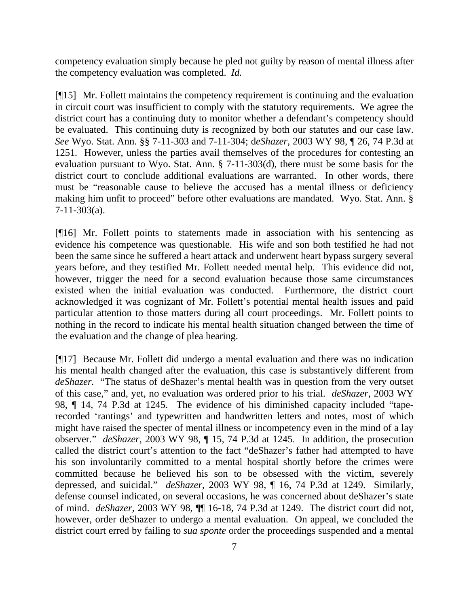competency evaluation simply because he pled not guilty by reason of mental illness after the competency evaluation was completed. *Id.* 

[¶15] Mr. Follett maintains the competency requirement is continuing and the evaluation in circuit court was insufficient to comply with the statutory requirements. We agree the district court has a continuing duty to monitor whether a defendant's competency should be evaluated. This continuing duty is recognized by both our statutes and our case law. *See* Wyo. Stat. Ann. §§ 7-11-303 and 7-11-304; d*eShazer,* 2003 WY 98, ¶ 26, 74 P.3d at 1251*.* However, unless the parties avail themselves of the procedures for contesting an evaluation pursuant to Wyo. Stat. Ann. § 7-11-303(d), there must be some basis for the district court to conclude additional evaluations are warranted. In other words, there must be "reasonable cause to believe the accused has a mental illness or deficiency making him unfit to proceed" before other evaluations are mandated. Wyo. Stat. Ann. § 7-11-303(a).

[¶16] Mr. Follett points to statements made in association with his sentencing as evidence his competence was questionable. His wife and son both testified he had not been the same since he suffered a heart attack and underwent heart bypass surgery several years before, and they testified Mr. Follett needed mental help. This evidence did not, however, trigger the need for a second evaluation because those same circumstances existed when the initial evaluation was conducted. Furthermore, the district court acknowledged it was cognizant of Mr. Follett's potential mental health issues and paid particular attention to those matters during all court proceedings. Mr. Follett points to nothing in the record to indicate his mental health situation changed between the time of the evaluation and the change of plea hearing.

[¶17] Because Mr. Follett did undergo a mental evaluation and there was no indication his mental health changed after the evaluation, this case is substantively different from *deShazer.* "The status of deShazer's mental health was in question from the very outset of this case," and, yet, no evaluation was ordered prior to his trial. *deShazer,* 2003 WY 98, ¶ 14, 74 P.3d at 1245. The evidence of his diminished capacity included "taperecorded 'rantings' and typewritten and handwritten letters and notes, most of which might have raised the specter of mental illness or incompetency even in the mind of a lay observer." *deShazer*, 2003 WY 98, ¶ 15, 74 P.3d at 1245. In addition, the prosecution called the district court's attention to the fact "deShazer's father had attempted to have his son involuntarily committed to a mental hospital shortly before the crimes were committed because he believed his son to be obsessed with the victim, severely depressed, and suicidal." *deShazer,* 2003 WY 98, ¶ 16, 74 P.3d at 1249. Similarly, defense counsel indicated, on several occasions, he was concerned about deShazer's state of mind. *deShazer,* 2003 WY 98, ¶¶ 16-18, 74 P.3d at 1249. The district court did not, however, order deShazer to undergo a mental evaluation. On appeal, we concluded the district court erred by failing to *sua sponte* order the proceedings suspended and a mental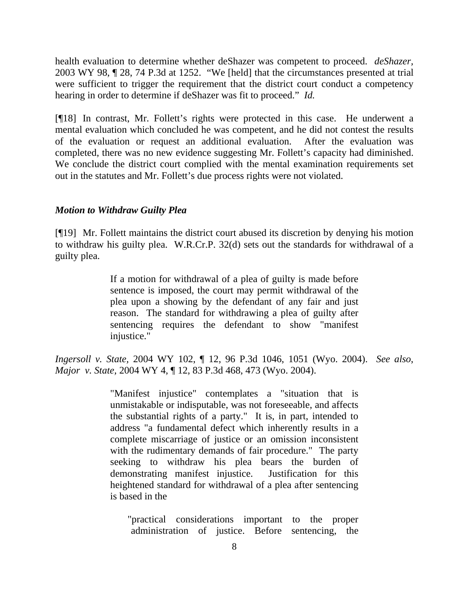health evaluation to determine whether deShazer was competent to proceed. *deShazer,*  2003 WY 98, ¶ 28, 74 P.3d at 1252. "We [held] that the circumstances presented at trial were sufficient to trigger the requirement that the district court conduct a competency hearing in order to determine if deShazer was fit to proceed." *Id.* 

[¶18] In contrast, Mr. Follett's rights were protected in this case. He underwent a mental evaluation which concluded he was competent, and he did not contest the results of the evaluation or request an additional evaluation. After the evaluation was completed, there was no new evidence suggesting Mr. Follett's capacity had diminished. We conclude the district court complied with the mental examination requirements set out in the statutes and Mr. Follett's due process rights were not violated.

### *Motion to Withdraw Guilty Plea*

[¶19] Mr. Follett maintains the district court abused its discretion by denying his motion to withdraw his guilty plea. W.R.Cr.P. 32(d) sets out the standards for withdrawal of a guilty plea.

> If a motion for withdrawal of a plea of guilty is made before sentence is imposed, the court may permit withdrawal of the plea upon a showing by the defendant of any fair and just reason. The standard for withdrawing a plea of guilty after sentencing requires the defendant to show "manifest injustice."

*Ingersoll v. State,* 2004 WY 102, ¶ 12, 96 P.3d 1046, 1051 (Wyo. 2004). *See also*, *Major v. State,* 2004 WY 4, ¶ 12, 83 P.3d 468, 473 (Wyo. 2004).

> "Manifest injustice" contemplates a "situation that is unmistakable or indisputable, was not foreseeable, and affects the substantial rights of a party." It is, in part, intended to address "a fundamental defect which inherently results in a complete miscarriage of justice or an omission inconsistent with the rudimentary demands of fair procedure." The party seeking to withdraw his plea bears the burden of demonstrating manifest injustice. Justification for this heightened standard for withdrawal of a plea after sentencing is based in the

 "practical considerations important to the proper administration of justice. Before sentencing, the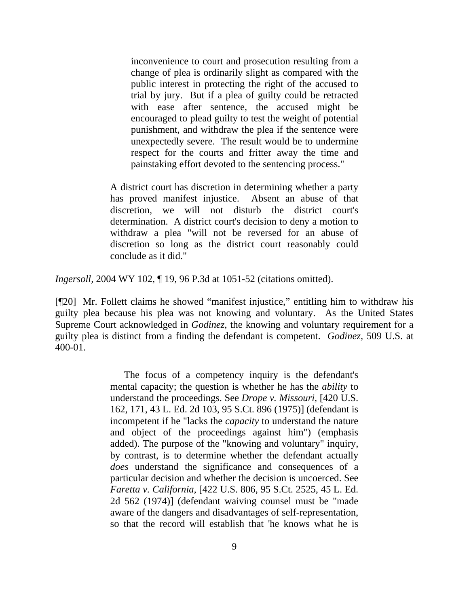inconvenience to court and prosecution resulting from a change of plea is ordinarily slight as compared with the public interest in protecting the right of the accused to trial by jury. But if a plea of guilty could be retracted with ease after sentence, the accused might be encouraged to plead guilty to test the weight of potential punishment, and withdraw the plea if the sentence were unexpectedly severe. The result would be to undermine respect for the courts and fritter away the time and painstaking effort devoted to the sentencing process."

A district court has discretion in determining whether a party has proved manifest injustice. Absent an abuse of that discretion, we will not disturb the district court's determination. A district court's decision to deny a motion to withdraw a plea "will not be reversed for an abuse of discretion so long as the district court reasonably could conclude as it did."

*Ingersoll,* 2004 WY 102, ¶ 19, 96 P.3d at 1051-52 (citations omitted).

[¶20] Mr. Follett claims he showed "manifest injustice," entitling him to withdraw his guilty plea because his plea was not knowing and voluntary. As the United States Supreme Court acknowledged in *Godinez,* the knowing and voluntary requirement for a guilty plea is distinct from a finding the defendant is competent. *Godinez,* 509 U.S. at 400-01.

> The focus of a competency inquiry is the defendant's mental capacity; the question is whether he has the *ability* to understand the proceedings. See *Drope v. Missouri,* [420 U.S. 162, 171, 43 L. Ed. 2d 103, 95 S.Ct. 896 (1975)] (defendant is incompetent if he "lacks the *capacity* to understand the nature and object of the proceedings against him") (emphasis added). The purpose of the "knowing and voluntary" inquiry, by contrast, is to determine whether the defendant actually *does* understand the significance and consequences of a particular decision and whether the decision is uncoerced. See *Faretta v. California,* [422 U.S. 806, 95 S.Ct. 2525, 45 L. Ed. 2d 562 (1974)] (defendant waiving counsel must be "made aware of the dangers and disadvantages of self-representation, so that the record will establish that 'he knows what he is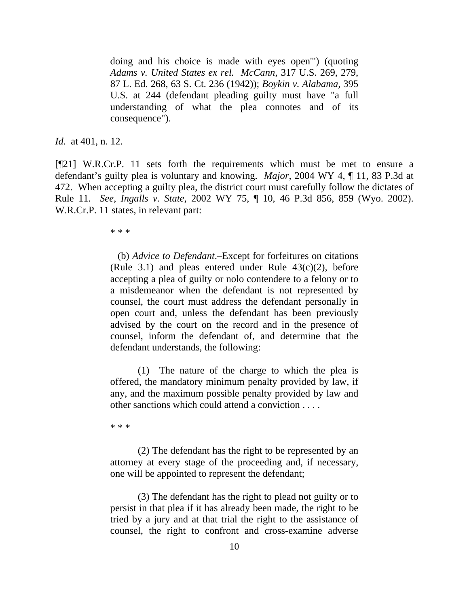doing and his choice is made with eyes open'") (quoting *Adams v. United States ex rel. McCann,* 317 U.S. 269, 279, 87 L. Ed. 268, 63 S. Ct. 236 (1942)); *Boykin v. Alabama,* 395 U.S. at 244 (defendant pleading guilty must have "a full understanding of what the plea connotes and of its consequence").

*Id.* at 401, n. 12.

[¶21] W.R.Cr.P. 11 sets forth the requirements which must be met to ensure a defendant's guilty plea is voluntary and knowing. *Major,* 2004 WY 4, ¶ 11, 83 P.3d at 472. When accepting a guilty plea, the district court must carefully follow the dictates of Rule 11. *See*, *Ingalls v. State,* 2002 WY 75, ¶ 10, 46 P.3d 856, 859 (Wyo. 2002). W.R.Cr.P. 11 states, in relevant part:

\* \* \*

 (b) *Advice to Defendant*.–Except for forfeitures on citations (Rule 3.1) and pleas entered under Rule  $43(c)(2)$ , before accepting a plea of guilty or nolo contendere to a felony or to a misdemeanor when the defendant is not represented by counsel, the court must address the defendant personally in open court and, unless the defendant has been previously advised by the court on the record and in the presence of counsel, inform the defendant of, and determine that the defendant understands, the following:

(1) The nature of the charge to which the plea is offered, the mandatory minimum penalty provided by law, if any, and the maximum possible penalty provided by law and other sanctions which could attend a conviction . . . .

\* \* \*

 (2) The defendant has the right to be represented by an attorney at every stage of the proceeding and, if necessary, one will be appointed to represent the defendant;

 (3) The defendant has the right to plead not guilty or to persist in that plea if it has already been made, the right to be tried by a jury and at that trial the right to the assistance of counsel, the right to confront and cross-examine adverse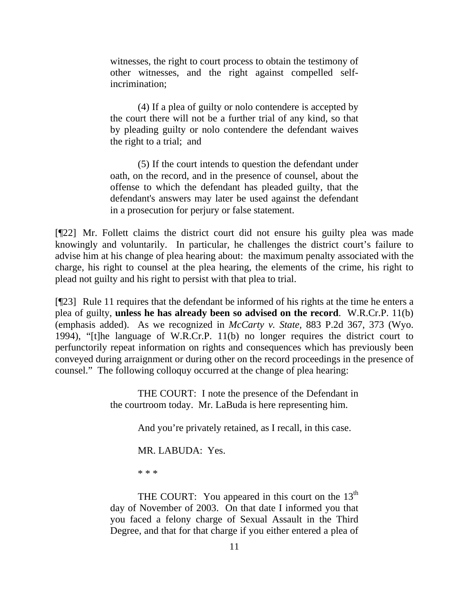witnesses, the right to court process to obtain the testimony of other witnesses, and the right against compelled selfincrimination;

 (4) If a plea of guilty or nolo contendere is accepted by the court there will not be a further trial of any kind, so that by pleading guilty or nolo contendere the defendant waives the right to a trial; and

 (5) If the court intends to question the defendant under oath, on the record, and in the presence of counsel, about the offense to which the defendant has pleaded guilty, that the defendant's answers may later be used against the defendant in a prosecution for perjury or false statement.

[¶22] Mr. Follett claims the district court did not ensure his guilty plea was made knowingly and voluntarily. In particular, he challenges the district court's failure to advise him at his change of plea hearing about: the maximum penalty associated with the charge, his right to counsel at the plea hearing, the elements of the crime, his right to plead not guilty and his right to persist with that plea to trial.

[¶23] Rule 11 requires that the defendant be informed of his rights at the time he enters a plea of guilty, **unless he has already been so advised on the record**. W.R.Cr.P. 11(b) (emphasis added). As we recognized in *McCarty v. State,* 883 P.2d 367, 373 (Wyo. 1994), "[t]he language of W.R.Cr.P. 11(b) no longer requires the district court to perfunctorily repeat information on rights and consequences which has previously been conveyed during arraignment or during other on the record proceedings in the presence of counsel." The following colloquy occurred at the change of plea hearing:

> THE COURT: I note the presence of the Defendant in the courtroom today. Mr. LaBuda is here representing him.

> > And you're privately retained, as I recall, in this case.

MR. LABUDA: Yes.

\* \* \*

THE COURT: You appeared in this court on the  $13<sup>th</sup>$ day of November of 2003. On that date I informed you that you faced a felony charge of Sexual Assault in the Third Degree, and that for that charge if you either entered a plea of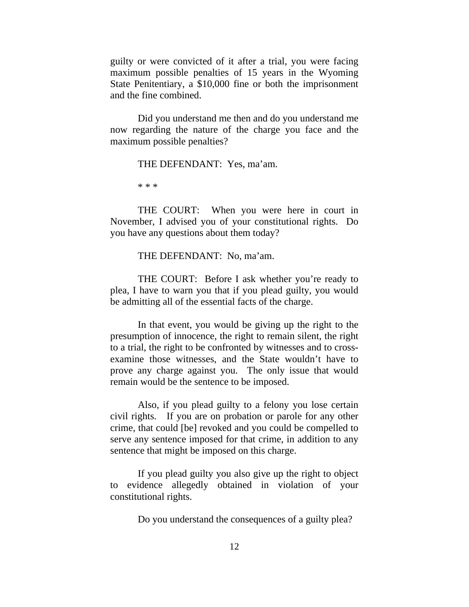guilty or were convicted of it after a trial, you were facing maximum possible penalties of 15 years in the Wyoming State Penitentiary, a \$10,000 fine or both the imprisonment and the fine combined.

 Did you understand me then and do you understand me now regarding the nature of the charge you face and the maximum possible penalties?

THE DEFENDANT: Yes, ma'am.

\* \* \*

 THE COURT: When you were here in court in November, I advised you of your constitutional rights. Do you have any questions about them today?

THE DEFENDANT: No, ma'am.

 THE COURT: Before I ask whether you're ready to plea, I have to warn you that if you plead guilty, you would be admitting all of the essential facts of the charge.

 In that event, you would be giving up the right to the presumption of innocence, the right to remain silent, the right to a trial, the right to be confronted by witnesses and to crossexamine those witnesses, and the State wouldn't have to prove any charge against you. The only issue that would remain would be the sentence to be imposed.

 Also, if you plead guilty to a felony you lose certain civil rights. If you are on probation or parole for any other crime, that could [be] revoked and you could be compelled to serve any sentence imposed for that crime, in addition to any sentence that might be imposed on this charge.

 If you plead guilty you also give up the right to object to evidence allegedly obtained in violation of your constitutional rights.

Do you understand the consequences of a guilty plea?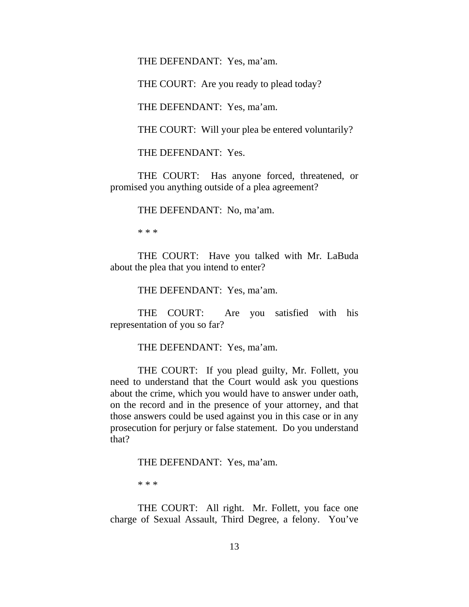THE DEFENDANT: Yes, ma'am.

THE COURT: Are you ready to plead today?

THE DEFENDANT: Yes, ma'am.

THE COURT: Will your plea be entered voluntarily?

THE DEFENDANT: Yes.

 THE COURT: Has anyone forced, threatened, or promised you anything outside of a plea agreement?

THE DEFENDANT: No, ma'am.

\* \* \*

 THE COURT: Have you talked with Mr. LaBuda about the plea that you intend to enter?

THE DEFENDANT: Yes, ma'am.

 THE COURT: Are you satisfied with his representation of you so far?

THE DEFENDANT: Yes, ma'am.

 THE COURT: If you plead guilty, Mr. Follett, you need to understand that the Court would ask you questions about the crime, which you would have to answer under oath, on the record and in the presence of your attorney, and that those answers could be used against you in this case or in any prosecution for perjury or false statement. Do you understand that?

THE DEFENDANT: Yes, ma'am.

\* \* \*

 THE COURT: All right. Mr. Follett, you face one charge of Sexual Assault, Third Degree, a felony. You've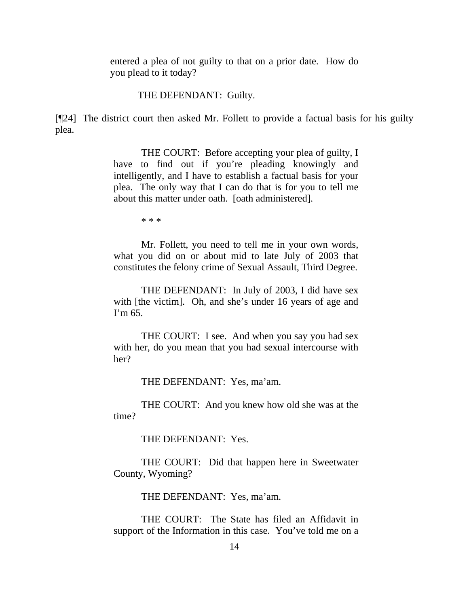entered a plea of not guilty to that on a prior date. How do you plead to it today?

THE DEFENDANT: Guilty.

[¶24] The district court then asked Mr. Follett to provide a factual basis for his guilty plea.

> THE COURT: Before accepting your plea of guilty, I have to find out if you're pleading knowingly and intelligently, and I have to establish a factual basis for your plea. The only way that I can do that is for you to tell me about this matter under oath. [oath administered].

> > \* \* \*

Mr. Follett, you need to tell me in your own words, what you did on or about mid to late July of 2003 that constitutes the felony crime of Sexual Assault, Third Degree.

THE DEFENDANT: In July of 2003, I did have sex with [the victim]. Oh, and she's under 16 years of age and I'm 65.

THE COURT: I see. And when you say you had sex with her, do you mean that you had sexual intercourse with her?

THE DEFENDANT: Yes, ma'am.

THE COURT: And you knew how old she was at the time?

THE DEFENDANT: Yes.

THE COURT: Did that happen here in Sweetwater County, Wyoming?

THE DEFENDANT: Yes, ma'am.

THE COURT: The State has filed an Affidavit in support of the Information in this case. You've told me on a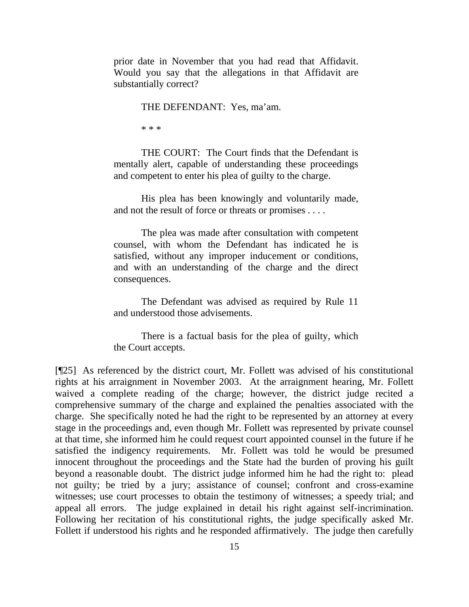prior date in November that you had read that Affidavit. Would you say that the allegations in that Affidavit are substantially correct?

THE DEFENDANT: Yes, ma'am.

\* \* \*

THE COURT: The Court finds that the Defendant is mentally alert, capable of understanding these proceedings and competent to enter his plea of guilty to the charge.

His plea has been knowingly and voluntarily made, and not the result of force or threats or promises . . . .

The plea was made after consultation with competent counsel, with whom the Defendant has indicated he is satisfied, without any improper inducement or conditions, and with an understanding of the charge and the direct consequences.

The Defendant was advised as required by Rule 11 and understood those advisements.

There is a factual basis for the plea of guilty, which the Court accepts.

[¶25] As referenced by the district court, Mr. Follett was advised of his constitutional rights at his arraignment in November 2003. At the arraignment hearing, Mr. Follett waived a complete reading of the charge; however, the district judge recited a comprehensive summary of the charge and explained the penalties associated with the charge. She specifically noted he had the right to be represented by an attorney at every stage in the proceedings and, even though Mr. Follett was represented by private counsel at that time, she informed him he could request court appointed counsel in the future if he satisfied the indigency requirements. Mr. Follett was told he would be presumed innocent throughout the proceedings and the State had the burden of proving his guilt beyond a reasonable doubt. The district judge informed him he had the right to: plead not guilty; be tried by a jury; assistance of counsel; confront and cross-examine witnesses; use court processes to obtain the testimony of witnesses; a speedy trial; and appeal all errors. The judge explained in detail his right against self-incrimination. Following her recitation of his constitutional rights, the judge specifically asked Mr. Follett if understood his rights and he responded affirmatively. The judge then carefully